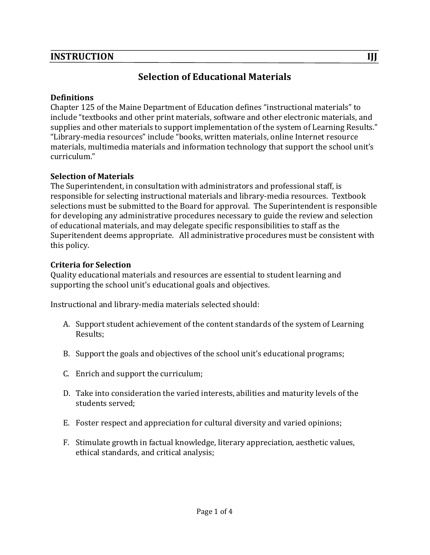# **Selection of Educational Materials**

#### **Definitions**

Chapter 125 of the Maine Department of Education defines "instructional materials" to include "textbooks and other print materials, software and other electronic materials, and supplies and other materials to support implementation of the system of Learning Results." "Library-media resources" include "books, written materials, online Internet resource materials, multimedia materials and information technology that support the school unit's curriculum."

#### **Selection of Materials**

The Superintendent, in consultation with administrators and professional staff, is responsible for selecting instructional materials and library-media resources. Textbook selections must be submitted to the Board for approval. The Superintendent is responsible for developing any administrative procedures necessary to guide the review and selection of educational materials, and may delegate specific responsibilities to staff as the Superitendent deems appropriate. All administrative procedures must be consistent with this policy.

#### **Criteria for Selection**

Quality educational materials and resources are essential to student learning and supporting the school unit's educational goals and objectives.

Instructional and library-media materials selected should:

- A. Support student achievement of the content standards of the system of Learning Results;
- B. Support the goals and objectives of the school unit's educational programs;
- C. Enrich and support the curriculum;
- D. Take into consideration the varied interests, abilities and maturity levels of the students served:
- E. Foster respect and appreciation for cultural diversity and varied opinions;
- F. Stimulate growth in factual knowledge, literary appreciation, aesthetic values, ethical standards, and critical analysis;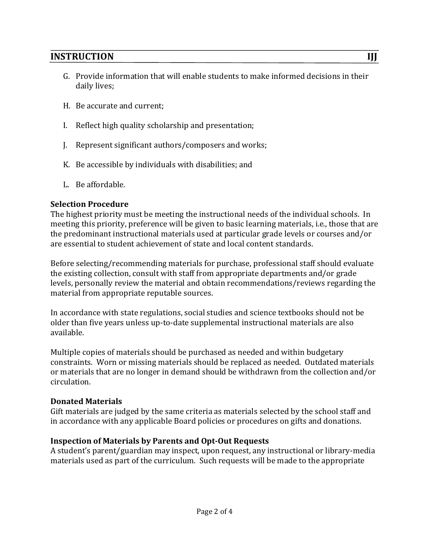- G. Provide information that will enable students to make informed decisions in their daily lives;
- H. Be accurate and current;
- I. Reflect high quality scholarship and presentation;
- J. Represent significant authors/composers and works;
- K. Be accessible by individuals with disabilities; and
- L. Be affordable.

#### **Selection Procedure**

The highest priority must be meeting the instructional needs of the individual schools. In meeting this priority, preference will be given to basic learning materials, i.e., those that are the predominant instructional materials used at particular grade levels or courses and/or are essential to student achievement of state and local content standards.

Before selecting/recommending materials for purchase, professional staff should evaluate the existing collection, consult with staff from appropriate departments and/or grade levels, personally review the material and obtain recommendations/reviews regarding the material from appropriate reputable sources.

In accordance with state regulations, social studies and science textbooks should not be older than five years unless up-to-date supplemental instructional materials are also available.

Multiple copies of materials should be purchased as needed and within budgetary constraints. Worn or missing materials should be replaced as needed. Outdated materials or materials that are no longer in demand should be withdrawn from the collection and/or circulation.

#### **Donated Materials**

Gift materials are judged by the same criteria as materials selected by the school staff and in accordance with any applicable Board policies or procedures on gifts and donations.

#### **Inspection of Materials by Parents and Opt-Out Requests**

A student's parent/guardian may inspect, upon request, any instructional or library-media materials used as part of the curriculum. Such requests will be made to the appropriate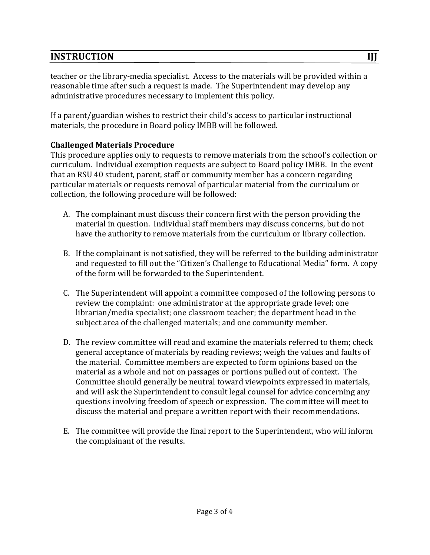teacher or the library-media specialist. Access to the materials will be provided within a reasonable time after such a request is made. The Superintendent may develop any administrative procedures necessary to implement this policy.

If a parent/guardian wishes to restrict their child's access to particular instructional materials, the procedure in Board policy IMBB will be followed.

### **Challenged Materials Procedure**

This procedure applies only to requests to remove materials from the school's collection or curriculum. Individual exemption requests are subject to Board policy IMBB. In the event that an RSU 40 student, parent, staff or community member has a concern regarding particular materials or requests removal of particular material from the curriculum or collection, the following procedure will be followed:

- A. The complainant must discuss their concern first with the person providing the material in question. Individual staff members may discuss concerns, but do not have the authority to remove materials from the curriculum or library collection.
- B. If the complainant is not satisfied, they will be referred to the building administrator and requested to fill out the "Citizen's Challenge to Educational Media" form. A copy of the form will be forwarded to the Superintendent.
- C. The Superintendent will appoint a committee composed of the following persons to review the complaint: one administrator at the appropriate grade level; one librarian/media specialist; one classroom teacher; the department head in the subject area of the challenged materials; and one community member.
- D. The review committee will read and examine the materials referred to them; check general acceptance of materials by reading reviews; weigh the values and faults of the material. Committee members are expected to form opinions based on the material as a whole and not on passages or portions pulled out of context. The Committee should generally be neutral toward viewpoints expressed in materials, and will ask the Superintendent to consult legal counsel for advice concerning any questions involving freedom of speech or expression. The committee will meet to discuss the material and prepare a written report with their recommendations.
- E. The committee will provide the final report to the Superintendent, who will inform the complainant of the results.